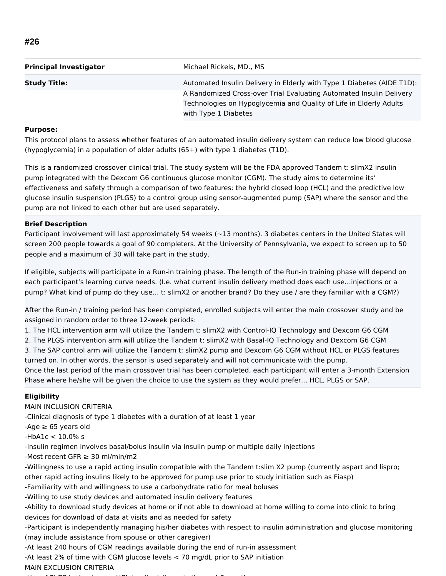| <b>Principal Investigator</b> | Michael Rickels, MD., MS                                               |  |
|-------------------------------|------------------------------------------------------------------------|--|
| <b>Study Title:</b>           | Automated Insulin Delivery in Elderly with Type 1 Diabetes (AIDE T1D): |  |
|                               | A Randomized Cross-over Trial Evaluating Automated Insulin Delivery    |  |
|                               | Technologies on Hypoglycemia and Quality of Life in Elderly Adults     |  |
|                               | with Type 1 Diabetes                                                   |  |

### **Purpose:**

This protocol plans to assess whether features of an automated insulin delivery system can reduce low blood glucose (hypoglycemia) in a population of older adults (65+) with type 1 diabetes (T1D).

This is a randomized crossover clinical trial. The study system will be the FDA approved Tandem t: slimX2 insulin pump integrated with the Dexcom G6 continuous glucose monitor (CGM). The study aims to determine its' effectiveness and safety through a comparison of two features: the hybrid closed loop (HCL) and the predictive low glucose insulin suspension (PLGS) to a control group using sensor-augmented pump (SAP) where the sensor and the pump are not linked to each other but are used separately.

# **Brief Description**

Participant involvement will last approximately 54 weeks ( $\sim$ 13 months). 3 diabetes centers in the United States will screen 200 people towards a goal of 90 completers. At the University of Pennsylvania, we expect to screen up to 50 people and a maximum of 30 will take part in the study.

If eligible, subjects will participate in a Run-in training phase. The length of the Run-in training phase will depend on each participant's learning curve needs. (I.e. what current insulin delivery method does each use…injections or a pump? What kind of pump do they use… t: slimX2 or another brand? Do they use / are they familiar with a CGM?)

After the Run-in / training period has been completed, enrolled subjects will enter the main crossover study and be assigned in random order to three 12-week periods:

1. The HCL intervention arm will utilize the Tandem t: slimX2 with Control-IQ Technology and Dexcom G6 CGM

2. The PLGS intervention arm will utilize the Tandem t: slimX2 with Basal-IQ Technology and Dexcom G6 CGM

3. The SAP control arm will utilize the Tandem t: slimX2 pump and Dexcom G6 CGM without HCL or PLGS features turned on. In other words, the sensor is used separately and will not communicate with the pump.

Once the last period of the main crossover trial has been completed, each participant will enter a 3-month Extension Phase where he/she will be given the choice to use the system as they would prefer… HCL, PLGS or SAP.

## **Eligibility**

MAIN INCLUSION CRITERIA

-Clinical diagnosis of type 1 diabetes with a duration of at least 1 year

-Age  $\geq 65$  years old

-HbA1c < 10.0% s

-Insulin regimen involves basal/bolus insulin via insulin pump or multiple daily injections

-Most recent GFR ≥ 30 ml/min/m2

-Willingness to use a rapid acting insulin compatible with the Tandem t:slim X2 pump (currently aspart and lispro; other rapid acting insulins likely to be approved for pump use prior to study initiation such as Fiasp)

-Familiarity with and willingness to use a carbohydrate ratio for meal boluses

-Willing to use study devices and automated insulin delivery features

-Ability to download study devices at home or if not able to download at home willing to come into clinic to bring devices for download of data at visits and as needed for safety

-Participant is independently managing his/her diabetes with respect to insulin administration and glucose monitoring (may include assistance from spouse or other caregiver)

-At least 240 hours of CGM readings available during the end of run-in assessment

-At least 2% of time with CGM glucose levels < 70 mg/dL prior to SAP initiation

## MAIN EXCLUSION CRITERIA

 $U$  -Use of PLGS technology or HCl insuling technology or HCl insuling  $U$